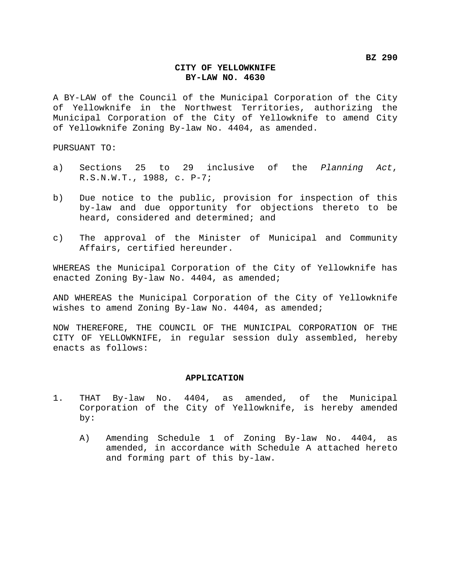## **CITY OF YELLOWKNIFE BY-LAW NO. 4630**

A BY-LAW of the Council of the Municipal Corporation of the City of Yellowknife in the Northwest Territories, authorizing the Municipal Corporation of the City of Yellowknife to amend City of Yellowknife Zoning By-law No. 4404, as amended.

PURSUANT TO:

- a) Sections 25 to 29 inclusive of the *Planning Act*, R.S.N.W.T., 1988, c. P-7;
- b) Due notice to the public, provision for inspection of this by-law and due opportunity for objections thereto to be heard, considered and determined; and
- c) The approval of the Minister of Municipal and Community Affairs, certified hereunder.

WHEREAS the Municipal Corporation of the City of Yellowknife has enacted Zoning By-law No. 4404, as amended;

AND WHEREAS the Municipal Corporation of the City of Yellowknife wishes to amend Zoning By-law No. 4404, as amended;

NOW THEREFORE, THE COUNCIL OF THE MUNICIPAL CORPORATION OF THE CITY OF YELLOWKNIFE, in regular session duly assembled, hereby enacts as follows:

## **APPLICATION**

- 1. THAT By-law No. 4404, as amended, of the Municipal Corporation of the City of Yellowknife, is hereby amended by:
	- A) Amending Schedule 1 of Zoning By-law No. 4404, as amended, in accordance with Schedule A attached hereto and forming part of this by-law.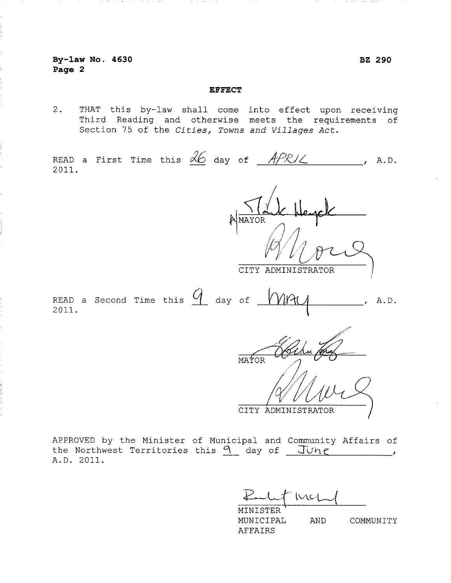## **EFFECT**

 $2.$ THAT this by-law shall come into effect upon receiving Third Reading and otherwise meets the requirements of Section 75 of the Cities, Towns and Villages Act.

READ a First Time this  $\frac{\partial}{\partial 6}$  day of  $\frac{APR}{C}$  $A.D.$ 2011. MAYOR CITY ADMINISTRATOR READ a Second Time this  $\mathcal{U}$  day of A.D. 2011.

APPROVED by the Minister of Municipal and Community Affairs of the Northwest Territories this  $9$  day of  $J\cup_{1}e$  $\mathcal{L}$  and  $\mathcal{L}$ A.D. 2011.

MAYOR

Wil

CITY ADMINISTRATOR

MINISTER MUNICIPAL AND COMMUNITY **AFFAIRS**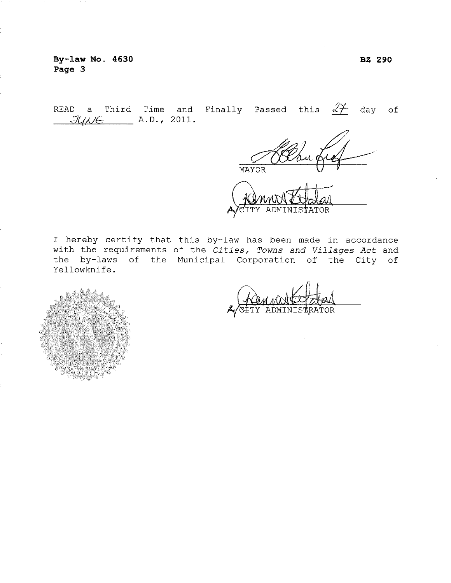By-law No. 4630 Page 3

READ a Third Time and Finally Passed this  $\frac{27}{17}$  day of  $JU\wedge E$   $A.D., 2011.$ 

MAYOR

TOR

I hereby certify that this by-law has been made in accordance with the requirements of the Cities, Towns and Villages Act and the by-laws of the Municipal Corporation of the City of Yellowknife.



TOR